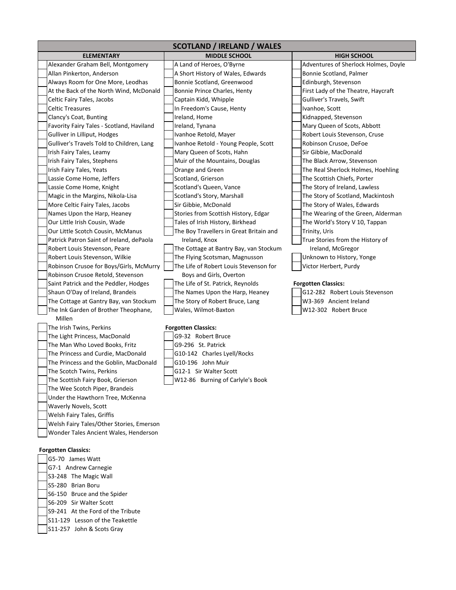| <b>SCOTLAND / IRELAND / WALES</b>         |                                         |                                      |  |
|-------------------------------------------|-----------------------------------------|--------------------------------------|--|
| <b>ELEMENTARY</b>                         | <b>MIDDLE SCHOOL</b>                    | <b>HIGH SCHOOL</b>                   |  |
| Alexander Graham Bell, Montgomery         | A Land of Heroes, O'Byrne               | Adventures of Sherlock Holmes, Doyle |  |
| Allan Pinkerton, Anderson                 | A Short History of Wales, Edwards       | Bonnie Scotland, Palmer              |  |
| Always Room for One More, Leodhas         | Bonnie Scotland, Greenwood              | Edinburgh, Stevenson                 |  |
| At the Back of the North Wind, McDonald   | Bonnie Prince Charles, Henty            | First Lady of the Theatre, Haycraft  |  |
| Celtic Fairy Tales, Jacobs                | Captain Kidd, Whipple                   | Gulliver's Travels, Swift            |  |
| <b>Celtic Treasures</b>                   | In Freedom's Cause, Henty               | Ivanhoe, Scott                       |  |
| Clancy's Coat, Bunting                    | Ireland, Home                           | Kidnapped, Stevenson                 |  |
| Favority Fairy Tales - Scotland, Haviland | Ireland, Tynana                         | Mary Queen of Scots, Abbott          |  |
| Gulliver in Lilliput, Hodges              | Ivanhoe Retold, Mayer                   | Robert Louis Stevenson, Cruse        |  |
| Gulliver's Travels Told to Children, Lang | Ivanhoe Retold - Young People, Scott    | Robinson Crusoe, DeFoe               |  |
| Irish Fairy Tales, Leamy                  | Mary Queen of Scots, Hahn               | Sir Gibbie, MacDonald                |  |
| Irish Fairy Tales, Stephens               | Muir of the Mountains, Douglas          | The Black Arrow, Stevenson           |  |
| Irish Fairy Tales, Yeats                  | Orange and Green                        | The Real Sherlock Holmes, Hoehling   |  |
| Lassie Come Home, Jeffers                 | Scotland, Grierson                      | The Scottish Chiefs, Porter          |  |
| Lassie Come Home, Knight                  | Scotland's Queen, Vance                 | The Story of Ireland, Lawless        |  |
| Magic in the Margins, Nikola-Lisa         | Scotland's Story, Marshall              | The Story of Scotland, Mackintosh    |  |
| More Celtic Fairy Tales, Jacobs           | Sir Gibbie, McDonald                    | The Story of Wales, Edwards          |  |
| Names Upon the Harp, Heaney               | Stories from Scottish History, Edgar    | The Wearing of the Green, Alderman   |  |
| Our Little Irish Cousin, Wade             | Tales of Irish History, Birkhead        | The World's Story V 10, Tappan       |  |
| Our Little Scotch Cousin, McManus         | The Boy Travellers in Great Britain and | Trinity, Uris                        |  |
| Patrick Patron Saint of Ireland, dePaola  | Ireland, Knox                           | True Stories from the History of     |  |
| Robert Louis Stevenson, Peare             | The Cottage at Bantry Bay, van Stockum  | Ireland, McGregor                    |  |
| Robert Louis Stevenson, Wilkie            | The Flying Scotsman, Magnusson          | Unknown to History, Yonge            |  |
| Robinson Crusoe for Boys/Girls, McMurry   | The Life of Robert Louis Stevenson for  | Victor Herbert, Purdy                |  |
| Robinson Crusoe Retold, Stevenson         | Boys and Girls, Overton                 |                                      |  |
| Saint Patrick and the Peddler, Hodges     | The Life of St. Patrick, Reynolds       | <b>Forgotten Classics:</b>           |  |
| Shaun O'Day of Ireland, Brandeis          | The Names Upon the Harp, Heaney         | G12-282 Robert Louis Stevenson       |  |
| The Cottage at Gantry Bay, van Stockum    | The Story of Robert Bruce, Lang         | W3-369 Ancient Ireland               |  |
| The Ink Garden of Brother Theophane,      | Wales, Wilmot-Baxton                    | W12-302 Robert Bruce                 |  |
| Millen                                    |                                         |                                      |  |
| The Irish Twins, Perkins                  | <b>Forgotten Classics:</b>              |                                      |  |
| The Light Princess, MacDonald             | G9-32 Robert Bruce                      |                                      |  |
| The Man Who Loved Books, Fritz            | G9-296 St. Patrick                      |                                      |  |
| The Princess and Curdie, MacDonald        | G10-142 Charles Lyell/Rocks             |                                      |  |
| The Princess and the Goblin, MacDonald    | G10-196 John Muir                       |                                      |  |
| The Scotch Twins, Perkins                 | G12-1 Sir Walter Scott                  |                                      |  |
| The Scottish Fairy Book, Grierson         | W12-86 Burning of Carlyle's Book        |                                      |  |
| The Wee Scotch Piper, Brandeis            |                                         |                                      |  |
| Under the Hawthorn Tree, McKenna          |                                         |                                      |  |
| <b>Waverly Novels, Scott</b>              |                                         |                                      |  |

## **Forgotten Classics:**

| G5-70 James Watt                  |
|-----------------------------------|
| G7-1 Andrew Carnegie              |
| S3-248 The Magic Wall             |
| S5-280 Brian Boru                 |
| S6-150 Bruce and the Spider       |
| S6-209 Sir Walter Scott           |
| S9-241 At the Ford of the Tribute |
| S11-129 Lesson of the Teakettle   |
| S11-257 John & Scots Gray         |

Welsh Fairy Tales, Griffis

Welsh Fairy Tales/Other Stories, Emerson Wonder Tales Ancient Wales, Henderson